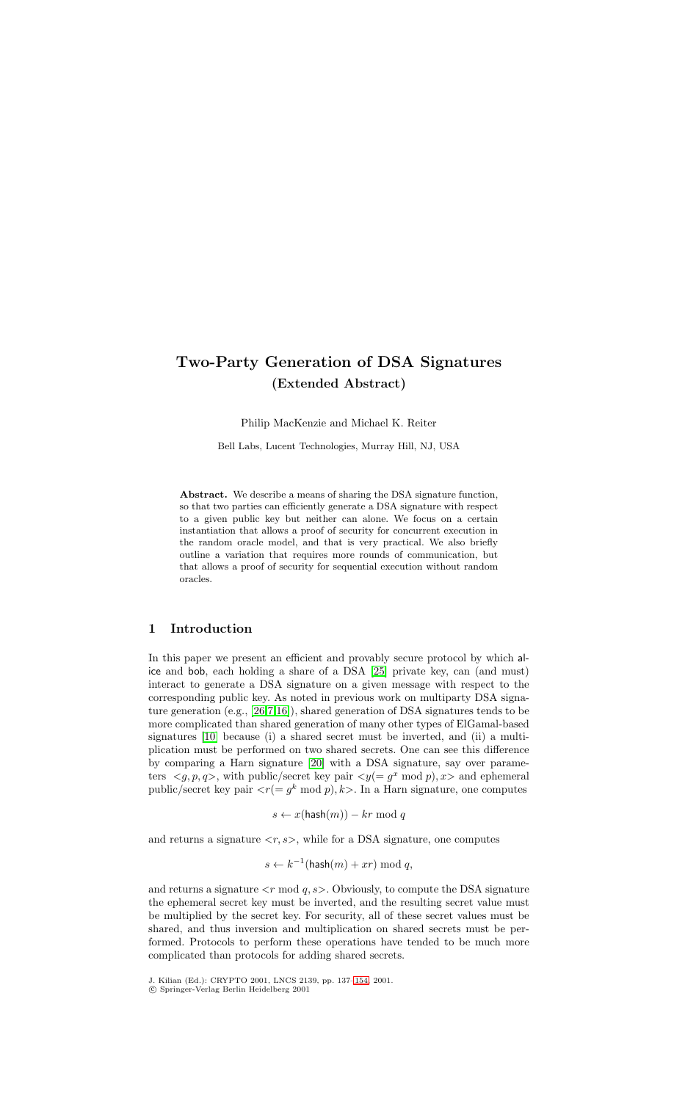# <span id="page-0-0"></span>**Two-Party Generation of DSA Signatures (Extended Abstract)**

Philip MacKenzie and Michael K. Reiter

Bell Labs, Lucent Technologies, Murray Hill, NJ, USA

**Abstract.** We describe a means of sharing the DSA signature function, so that two parties can efficiently generate a DSA signature with respect to a given public key but neither can alone. We focus on a certain instantiation that allows a proof of security for concurrent execution in the random oracle model, and that is very practical. We also briefly outline a variation that requires more rounds of communication, but that allows a proof of security for sequential execution without random oracles.

# **1 Introduction**

In this paper we present an efficient and provably secure protocol by which alice and bob, each holding a share of a DSA [\[25\]](#page-17-0) private key, can (and must) interact to generate a DSA signature on a given message with respect to the corresponding public key. As noted in previous work on multiparty DSA signature generation (e.g., [\[26](#page-17-0)[,7,16\]](#page-16-0)), shared generation of DSA signatures tends to be more complicated than shared generation of many other types of ElGamal-based signatures [\[10\]](#page-16-0) because (i) a shared secret must be inverted, and (ii) a multiplication must be performed on two shared secrets. One can see this difference by comparing a Harn signature [\[20\]](#page-16-0) with a DSA signature, say over parameters  $\langle g, p, q \rangle$ , with public/secret key pair  $\langle y | = g^x \bmod p, x \rangle$  and ephemeral public/secret key pair  $\langle r|=g^k \bmod p$ , k>. In a Harn signature, one computes

$$
s \leftarrow x(\textsf{hash}(m)) - kr \bmod q
$$

and returns a signature  $\langle r, s \rangle$ , while for a DSA signature, one computes

 $s \leftarrow k^{-1}(\text{hash}(m) + xr) \bmod q,$ 

and returns a signature  $\langle r \bmod q, s \rangle$ . Obviously, to compute the DSA signature the ephemeral secret key must be inverted, and the resulting secret value must be multiplied by the secret key. For security, all of these secret values must be shared, and thus inversion and multiplication on shared secrets must be performed. Protocols to perform these operations have tended to be much more complicated than protocols for adding shared secrets.

c Springer-Verlag Berlin Heidelberg 2001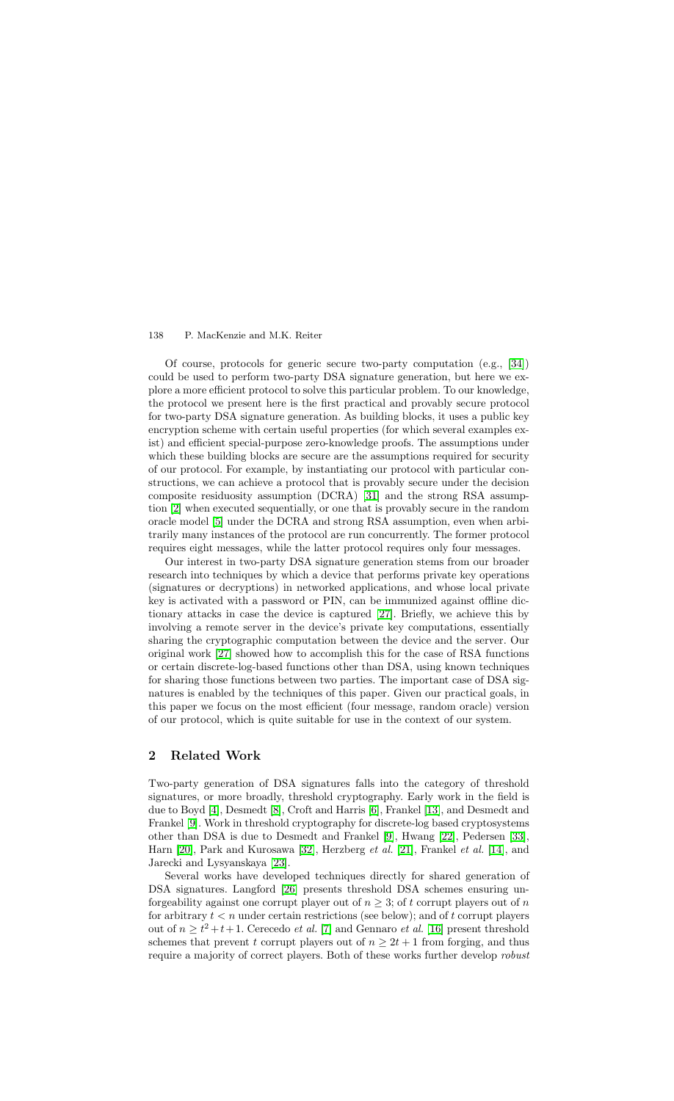Of course, protocols for generic secure two-party computation (e.g., [\[34\]](#page-17-0)) could be used to perform two-party DSA signature generation, but here we explore a more efficient protocol to solve this particular problem. To our knowledge, the protocol we present here is the first practical and provably secure protocol for two-party DSA signature generation. As building blocks, it uses a public key encryption scheme with certain useful properties (for which several examples exist) and efficient special-purpose zero-knowledge proofs. The assumptions under which these building blocks are secure are the assumptions required for security of our protocol. For example, by instantiating our protocol with particular constructions, we can achieve a protocol that is provably secure under the decision composite residuosity assumption (DCRA) [\[31\]](#page-17-0) and the strong RSA assumption [\[2\]](#page-16-0) when executed sequentially, or one that is provably secure in the random oracle model [\[5\]](#page-16-0) under the DCRA and strong RSA assumption, even when arbitrarily many instances of the protocol are run concurrently. The former protocol requires eight messages, while the latter protocol requires only four messages.

Our interest in two-party DSA signature generation stems from our broader research into techniques by which a device that performs private key operations (signatures or decryptions) in networked applications, and whose local private key is activated with a password or PIN, can be immunized against offline dictionary attacks in case the device is captured [\[27\]](#page-17-0). Briefly, we achieve this by involving a remote server in the device's private key computations, essentially sharing the cryptographic computation between the device and the server. Our original work [\[27\]](#page-17-0) showed how to accomplish this for the case of RSA functions or certain discrete-log-based functions other than DSA, using known techniques for sharing those functions between two parties. The important case of DSA signatures is enabled by the techniques of this paper. Given our practical goals, in this paper we focus on the most efficient (four message, random oracle) version of our protocol, which is quite suitable for use in the context of our system.

## **2 Related Work**

Two-party generation of DSA signatures falls into the category of threshold signatures, or more broadly, threshold cryptography. Early work in the field is due to Boyd [\[4\]](#page-16-0), Desmedt [\[8\]](#page-16-0), Croft and Harris [\[6\]](#page-16-0), Frankel [\[13\]](#page-16-0), and Desmedt and Frankel [\[9\]](#page-16-0). Work in threshold cryptography for discrete-log based cryptosystems other than DSA is due to Desmedt and Frankel [\[9\]](#page-16-0), Hwang [\[22\]](#page-17-0), Pedersen [\[33\]](#page-17-0), Harn [\[20\]](#page-16-0), Park and Kurosawa [\[32\]](#page-17-0), Herzberg et al. [\[21\]](#page-17-0), Frankel et al. [\[14\]](#page-16-0), and Jarecki and Lysyanskaya [\[23\]](#page-17-0).

Several works have developed techniques directly for shared generation of DSA signatures. Langford [\[26\]](#page-17-0) presents threshold DSA schemes ensuring unforgeability against one corrupt player out of  $n \geq 3$ ; of t corrupt players out of n for arbitrary  $t < n$  under certain restrictions (see below); and of t corrupt players out of  $n \geq t^2+t+1$ . Cerecedo *et al.* [\[7\]](#page-16-0) and Gennaro *et al.* [\[16\]](#page-16-0) present threshold schemes that prevent t corrupt players out of  $n \geq 2t + 1$  from forging, and thus require a majority of correct players. Both of these works further develop robust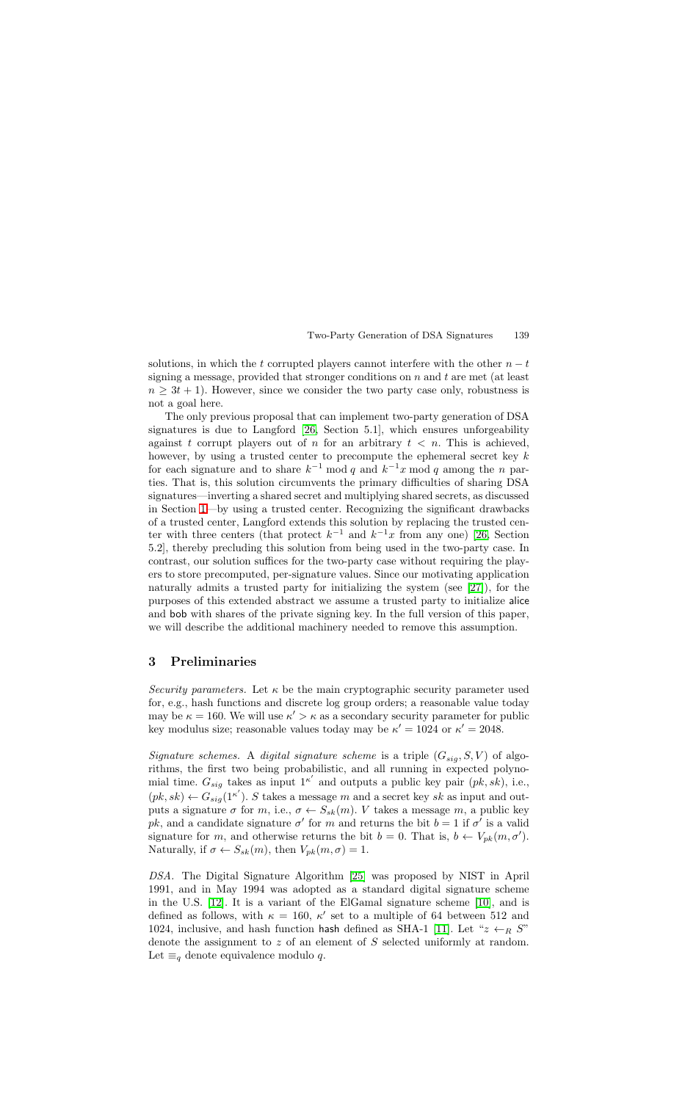<span id="page-2-0"></span>solutions, in which the t corrupted players cannot interfere with the other  $n - t$ signing a message, provided that stronger conditions on  $n$  and  $t$  are met (at least  $n \geq 3t + 1$ . However, since we consider the two party case only, robustness is not a goal here.

The only previous proposal that can implement two-party generation of DSA signatures is due to Langford [\[26,](#page-17-0) Section 5.1], which ensures unforgeability against t corrupt players out of n for an arbitrary  $t < n$ . This is achieved, however, by using a trusted center to precompute the ephemeral secret key  $k$ for each signature and to share  $k^{-1}$  mod q and  $k^{-1}x$  mod q among the n parties. That is, this solution circumvents the primary difficulties of sharing DSA signatures—inverting a shared secret and multiplying shared secrets, as discussed in Section [1—](#page-0-0)by using a trusted center. Recognizing the significant drawbacks of a trusted center, Langford extends this solution by replacing the trusted center with three centers (that protect  $k^{-1}$  and  $k^{-1}x$  from any one) [\[26,](#page-17-0) Section 5.2], thereby precluding this solution from being used in the two-party case. In contrast, our solution suffices for the two-party case without requiring the players to store precomputed, per-signature values. Since our motivating application naturally admits a trusted party for initializing the system (see [\[27\]](#page-17-0)), for the purposes of this extended abstract we assume a trusted party to initialize alice and bob with shares of the private signing key. In the full version of this paper, we will describe the additional machinery needed to remove this assumption.

#### **3 Preliminaries**

Security parameters. Let  $\kappa$  be the main cryptographic security parameter used for, e.g., hash functions and discrete log group orders; a reasonable value today may be  $\kappa = 160$ . We will use  $\kappa' > \kappa$  as a secondary security parameter for public key modulus size; reasonable values today may be  $\kappa' = 1024$  or  $\kappa' = 2048$ .

Signature schemes. A digital signature scheme is a triple  $(G_{sia}, S, V)$  of algorithms, the first two being probabilistic, and all running in expected polynomial time.  $G_{sig}$  takes as input  $1^{k'}$  and outputs a public key pair  $(pk, sk)$ , i.e.,  $(pk, sk) \leftarrow G_{sig}(1^{\kappa'})$ . S takes a message m and a secret key sk as input and outputs a signature  $\sigma$  for m, i.e.,  $\sigma \leftarrow S_{sk}(m)$ . V takes a message m, a public key pk, and a candidate signature  $\sigma'$  for m and returns the bit  $b = 1$  if  $\sigma'$  is a valid signature for m, and otherwise returns the bit  $b = 0$ . That is,  $b \leftarrow V_{pk}(m, \sigma')$ . Naturally, if  $\sigma \leftarrow S_{sk}(m)$ , then  $V_{nk}(m, \sigma) = 1$ .

DSA. The Digital Signature Algorithm [\[25\]](#page-17-0) was proposed by NIST in April 1991, and in May 1994 was adopted as a standard digital signature scheme in the U.S. [\[12\]](#page-16-0). It is a variant of the ElGamal signature scheme [\[10\]](#page-16-0), and is defined as follows, with  $\kappa = 160$ ,  $\kappa'$  set to a multiple of 64 between 512 and 1024, inclusive, and hash function hash defined as SHA-1 [\[11\]](#page-16-0). Let " $z \leftarrow_R S$ " denote the assignment to z of an element of S selected uniformly at random. Let  $\equiv_q$  denote equivalence modulo q.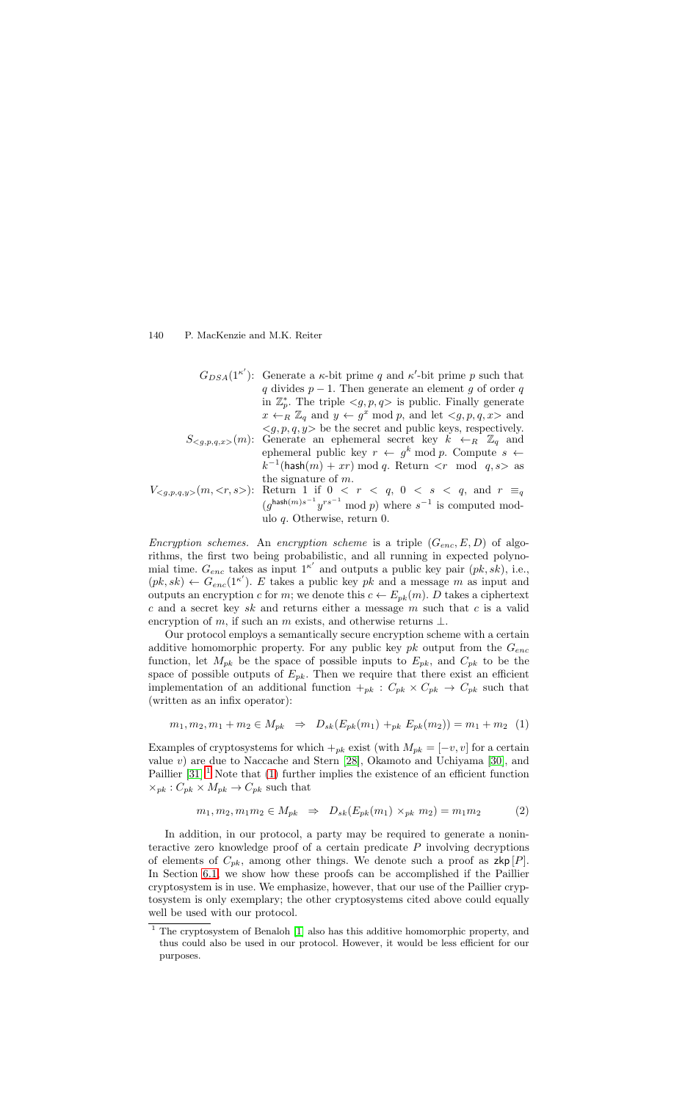$$
G_{DSA}(1^{\kappa'}):
$$
 Generate a  $\kappa$ -bit prime  $q$  and  $\kappa'$ -bit prime  $p$  such that  $q$  divides  $p-1$ . Then generate an element  $g$  of order  $q$  in  $\mathbb{Z}_p^*$ . The triple  $\langle g, p, q \rangle$  is public. Finally generate  $x \leftarrow_R \mathbb{Z}_q$  and  $y \leftarrow g^x \mod p$ , and let  $\langle g, p, q, x \rangle$  and  $\langle g, p, q, y \rangle$  be the secret and public keys, respectively.  $S_{\langle g, p, q, x \rangle}(m)$ : Generate an ephemeral secret key  $k \leftarrow_R \mathbb{Z}_q$  and ephemeral public key  $r \leftarrow g^k \mod p$ . Compute  $s \leftarrow k^{-1}(\text{hash}(m) + xr) \mod q$ . Return  $\langle r \mod q, s \rangle$  as the signature of  $m$ .  $V_{\langle g, p, q, y \rangle}(m, \langle r, s \rangle)$ : Return 1 if  $0 \langle r \langle q, q \rangle$  is a constant under  $\langle q \rangle$  and  $m$  and  $\langle q \rangle$ . Determine the signature of  $m$  and  $q$  is computed modulo  $q$ . Otherwise, return 0.

Encryption schemes. An encryption scheme is a triple  $(G_{enc}, E, D)$  of algorithms, the first two being probabilistic, and all running in expected polynomial time.  $G_{enc}$  takes as input  $1^{\kappa'}$  and outputs a public key pair  $(pk, sk)$ , i.e.,  $(pk, sk) \leftarrow G_{enc}(1^{\kappa'})$ . E takes a public key pk and a message m as input and outputs an encryption c for m; we denote this  $c \leftarrow E_{pk}(m)$ . D takes a ciphertext c and a secret key sk and returns either a message  $m$  such that c is a valid encryption of m, if such an m exists, and otherwise returns  $\perp$ .

Our protocol employs a semantically secure encryption scheme with a certain additive homomorphic property. For any public key pk output from the  $G_{enc}$ function, let  $M_{pk}$  be the space of possible inputs to  $E_{pk}$ , and  $C_{pk}$  to be the space of possible outputs of  $E_{pk}$ . Then we require that there exist an efficient implementation of an additional function  $+_{pk}$ :  $C_{pk} \times C_{pk} \rightarrow C_{pk}$  such that (written as an infix operator):

$$
m_1, m_2, m_1 + m_2 \in M_{pk} \Rightarrow D_{sk}(E_{pk}(m_1) +_{pk} E_{pk}(m_2)) = m_1 + m_2 \quad (1)
$$

Examples of cryptosystems for which  $+_{pk}$  exist (with  $M_{pk} = [-v, v]$  for a certain value v) are due to Naccache and Stern [\[28\]](#page-17-0), Okamoto and Uchiyama [\[30\]](#page-17-0), and Paillier  $[31]$ .<sup>1</sup> Note that (1) further implies the existence of an efficient function  $\times_{pk}$  :  $C_{pk} \times M_{pk} \rightarrow C_{pk}$  such that

$$
m_1, m_2, m_1 m_2 \in M_{pk} \Rightarrow D_{sk}(E_{pk}(m_1) \times_{pk} m_2) = m_1 m_2 \tag{2}
$$

In addition, in our protocol, a party may be required to generate a noninteractive zero knowledge proof of a certain predicate P involving decryptions of elements of  $C_{pk}$ , among other things. We denote such a proof as  $zkp|P$ . In Section [6.1,](#page-12-0) we show how these proofs can be accomplished if the Paillier cryptosystem is in use. We emphasize, however, that our use of the Paillier cryptosystem is only exemplary; the other cryptosystems cited above could equally well be used with our protocol.

<sup>&</sup>lt;sup>1</sup> The cryptosystem of Benaloh [\[1\]](#page-16-0) also has this additive homomorphic property, and thus could also be used in our protocol. However, it would be less efficient for our purposes.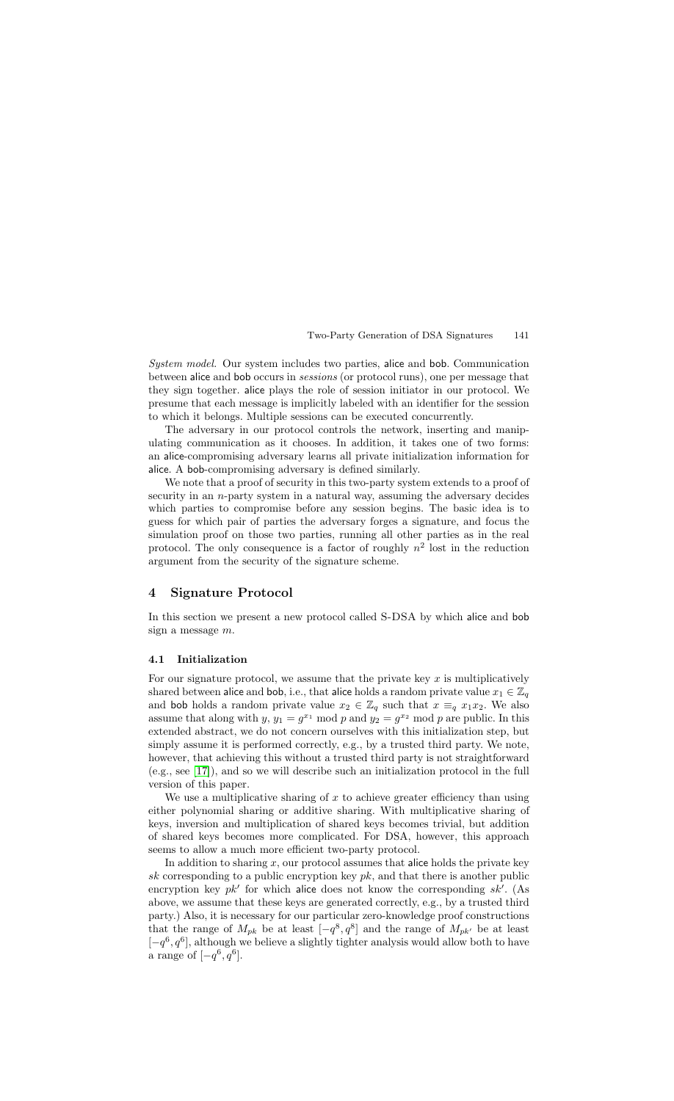<span id="page-4-0"></span>System model. Our system includes two parties, alice and bob. Communication between alice and bob occurs in sessions (or protocol runs), one per message that they sign together. alice plays the role of session initiator in our protocol. We presume that each message is implicitly labeled with an identifier for the session to which it belongs. Multiple sessions can be executed concurrently.

The adversary in our protocol controls the network, inserting and manipulating communication as it chooses. In addition, it takes one of two forms: an alice-compromising adversary learns all private initialization information for alice. A bob-compromising adversary is defined similarly.

We note that a proof of security in this two-party system extends to a proof of security in an  $n$ -party system in a natural way, assuming the adversary decides which parties to compromise before any session begins. The basic idea is to guess for which pair of parties the adversary forges a signature, and focus the simulation proof on those two parties, running all other parties as in the real protocol. The only consequence is a factor of roughly  $n^2$  lost in the reduction argument from the security of the signature scheme.

## **4 Signature Protocol**

In this section we present a new protocol called S-DSA by which alice and bob sign a message m.

#### **4.1 Initialization**

For our signature protocol, we assume that the private key  $x$  is multiplicatively shared between alice and bob, i.e., that alice holds a random private value  $x_1 \in \mathbb{Z}_q$ and bob holds a random private value  $x_2 \in \mathbb{Z}_q$  such that  $x \equiv_q x_1x_2$ . We also assume that along with  $y, y_1 = g^{x_1} \text{ mod } p$  and  $y_2 = g^{x_2} \text{ mod } p$  are public. In this extended abstract, we do not concern ourselves with this initialization step, but simply assume it is performed correctly, e.g., by a trusted third party. We note, however, that achieving this without a trusted third party is not straightforward (e.g., see [\[17\]](#page-16-0)), and so we will describe such an initialization protocol in the full version of this paper.

We use a multiplicative sharing of  $x$  to achieve greater efficiency than using either polynomial sharing or additive sharing. With multiplicative sharing of keys, inversion and multiplication of shared keys becomes trivial, but addition of shared keys becomes more complicated. For DSA, however, this approach seems to allow a much more efficient two-party protocol.

In addition to sharing  $x$ , our protocol assumes that alice holds the private key sk corresponding to a public encryption key  $pk$ , and that there is another public encryption key  $pk'$  for which alice does not know the corresponding  $sk'$ . (As above, we assume that these keys are generated correctly, e.g., by a trusted third party.) Also, it is necessary for our particular zero-knowledge proof constructions that the range of  $M_{pk}$  be at least  $[-q^8, q^8]$  and the range of  $M_{pk}$  be at least  $[-q^6, q^6]$ , although we believe a slightly tighter analysis would allow both to have a range of  $[-q^6, q^6]$ .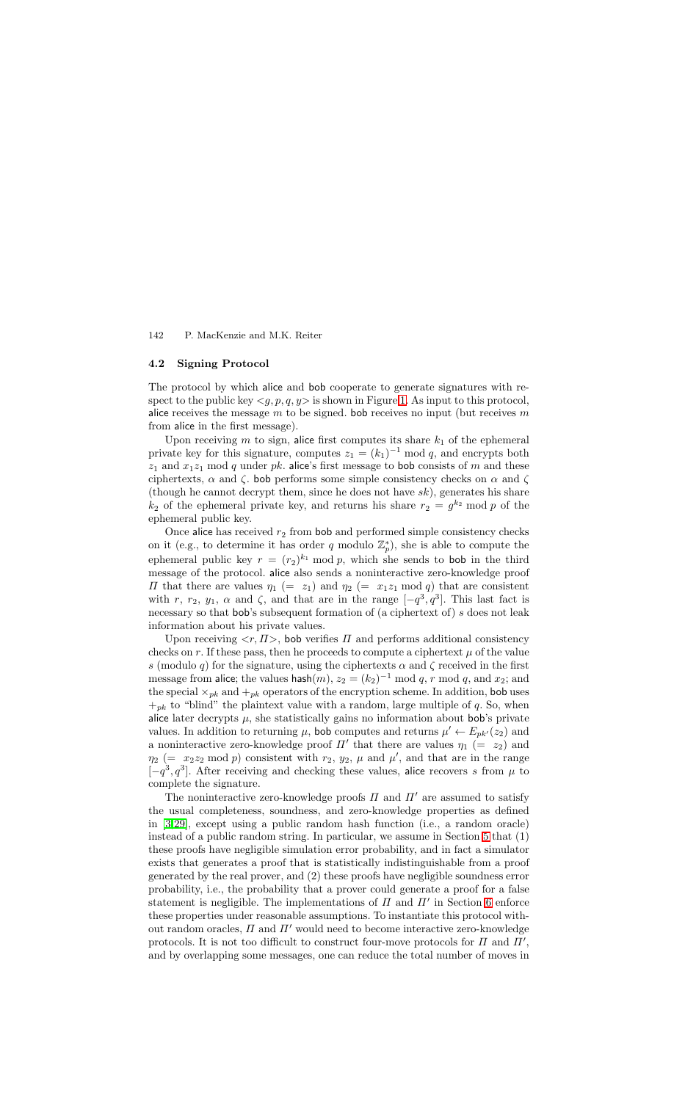#### **4.2 Signing Protocol**

The protocol by which alice and bob cooperate to generate signatures with respect to the public key  $\langle g, p, q, y \rangle$  is shown in Figure [1.](#page-7-0) As input to this protocol, alice receives the message  $m$  to be signed. bob receives no input (but receives  $m$ from alice in the first message).

Upon receiving  $m$  to sign, alice first computes its share  $k_1$  of the ephemeral private key for this signature, computes  $z_1 = (k_1)^{-1} \mod q$ , and encrypts both  $z_1$  and  $x_1z_1$  mod q under pk. alice's first message to bob consists of m and these ciphertexts,  $\alpha$  and  $\zeta$ . bob performs some simple consistency checks on  $\alpha$  and  $\zeta$ (though he cannot decrypt them, since he does not have  $sk$ ), generates his share  $k_2$  of the ephemeral private key, and returns his share  $r_2 = g^{k_2} \text{ mod } p$  of the ephemeral public key.

Once alice has received  $r_2$  from bob and performed simple consistency checks on it (e.g., to determine it has order q modulo  $\mathbb{Z}_p^*$ ), she is able to compute the ephemeral public key  $r = (r_2)^{k_1} \mod p$ , which she sends to bob in the third message of the protocol. alice also sends a noninteractive zero-knowledge proof  $\Pi$  that there are values  $η_1 (= z_1)$  and  $η_2 (= x_1z_1 \mod q)$  that are consistent with r,  $r_2$ ,  $y_1$ ,  $\alpha$  and  $\zeta$ , and that are in the range  $[-q^3, q^3]$ . This last fact is necessary so that **bob**'s subsequent formation of (a ciphertext of) s does not leak information about his private values.

Upon receiving  $\langle r, \Pi \rangle$ , bob verifies  $\Pi$  and performs additional consistency checks on r. If these pass, then he proceeds to compute a ciphertext  $\mu$  of the value s (modulo q) for the signature, using the ciphertexts  $\alpha$  and  $\zeta$  received in the first message from alice; the values hash $(m)$ ,  $z_2 = (k_2)^{-1} \mod q$ ,  $r \mod q$ , and  $x_2$ ; and the special  $\times_{pk}$  and  $+_{pk}$  operators of the encryption scheme. In addition, bob uses  $+_{pk}$  to "blind" the plaintext value with a random, large multiple of q. So, when alice later decrypts  $\mu$ , she statistically gains no information about bob's private values. In addition to returning  $\mu$ , bob computes and returns  $\mu' \leftarrow E_{pk'}(z_2)$  and a noninteractive zero-knowledge proof  $\Pi'$  that there are values  $\eta_1$  (=  $z_2$ ) and  $\eta_2$  (=  $x_2z_2 \mod p$ ) consistent with  $r_2, y_2, \mu$  and  $\mu'$ , and that are in the range  $[-q^3, q^3]$ . After receiving and checking these values, alice recovers s from  $\mu$  to complete the signature.

The noninteractive zero-knowledge proofs  $\Pi$  and  $\Pi'$  are assumed to satisfy the usual completeness, soundness, and zero-knowledge properties as defined in [\[3](#page-16-0)[,29\]](#page-17-0), except using a public random hash function (i.e., a random oracle) instead of a public random string. In particular, we assume in Section [5](#page-6-0) that (1) these proofs have negligible simulation error probability, and in fact a simulator exists that generates a proof that is statistically indistinguishable from a proof generated by the real prover, and (2) these proofs have negligible soundness error probability, i.e., the probability that a prover could generate a proof for a false statement is negligible. The implementations of  $\Pi$  and  $\Pi'$  in Section [6](#page-11-0) enforce these properties under reasonable assumptions. To instantiate this protocol without random oracles,  $\Pi$  and  $\Pi'$  would need to become interactive zero-knowledge protocols. It is not too difficult to construct four-move protocols for  $\Pi$  and  $\Pi'$ , and by overlapping some messages, one can reduce the total number of moves in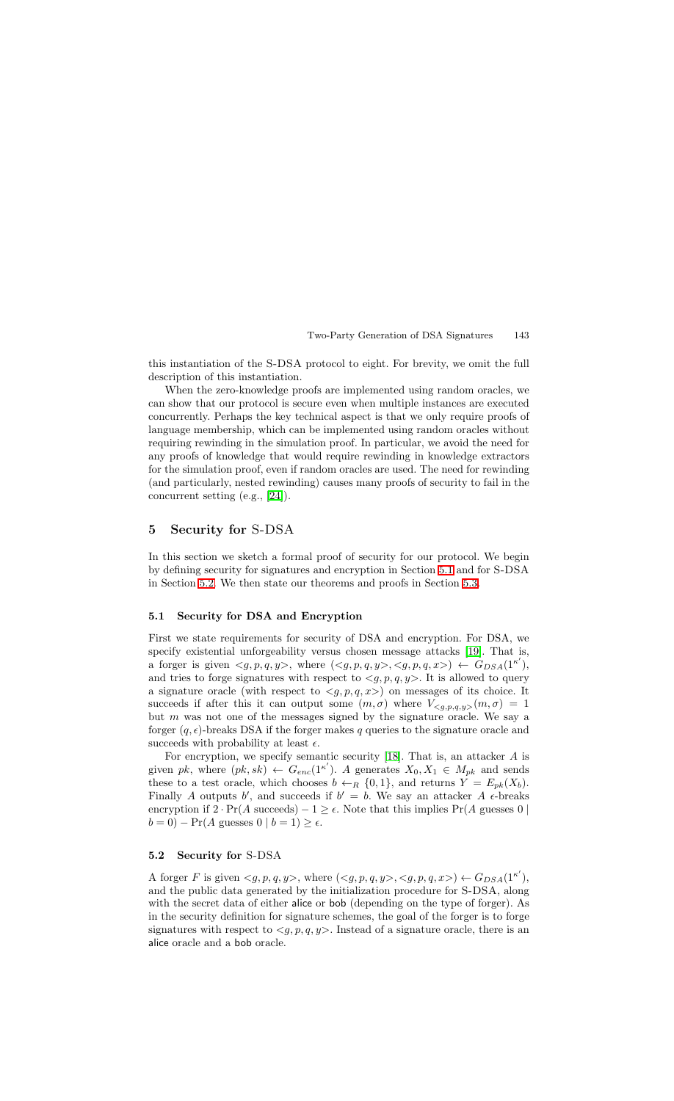<span id="page-6-0"></span>this instantiation of the S-DSA protocol to eight. For brevity, we omit the full description of this instantiation.

When the zero-knowledge proofs are implemented using random oracles, we can show that our protocol is secure even when multiple instances are executed concurrently. Perhaps the key technical aspect is that we only require proofs of language membership, which can be implemented using random oracles without requiring rewinding in the simulation proof. In particular, we avoid the need for any proofs of knowledge that would require rewinding in knowledge extractors for the simulation proof, even if random oracles are used. The need for rewinding (and particularly, nested rewinding) causes many proofs of security to fail in the concurrent setting (e.g., [\[24\]](#page-17-0)).

## **5 Security for** S-DSA

In this section we sketch a formal proof of security for our protocol. We begin by defining security for signatures and encryption in Section 5.1 and for S-DSA in Section 5.2. We then state our theorems and proofs in Section [5.3.](#page-8-0)

#### **5.1 Security for DSA and Encryption**

First we state requirements for security of DSA and encryption. For DSA, we specify existential unforgeability versus chosen message attacks [\[19\]](#page-16-0). That is, a forger is given  $\langle g, p, q, y \rangle$ , where  $(\langle g, p, q, y \rangle, \langle g, p, q, x \rangle) \leftarrow G_{DSA}(1^{\kappa'}),$ and tries to forge signatures with respect to  $\langle g, p, q, y \rangle$ . It is allowed to query a signature oracle (with respect to  $\langle g, p, q, x \rangle$ ) on messages of its choice. It succeeds if after this it can output some  $(m, \sigma)$  where  $V_{\leq q, p, q, y}$  $(m, \sigma) = 1$ but m was not one of the messages signed by the signature oracle. We say a forger  $(q, \epsilon)$ -breaks DSA if the forger makes q queries to the signature oracle and succeeds with probability at least  $\epsilon$ .

For encryption, we specify semantic security  $[18]$ . That is, an attacker A is given pk, where  $(pk, sk) \leftarrow G_{enc}(1^{\kappa'})$ . A generates  $X_0, X_1 \in M_{pk}$  and sends these to a test oracle, which chooses  $b \leftarrow_R \{0,1\}$ , and returns  $Y = E_{pk}(X_b)$ . Finally A outputs b', and succeeds if  $b' = b$ . We say an attacker A  $\epsilon$ -breaks encryption if  $2 \cdot Pr(A \text{ succeeds}) - 1 \geq \epsilon$ . Note that this implies  $Pr(A \text{ guesses } 0 |$  $b = 0$ ) – Pr(A guesses  $0 | b = 1$ )  $\ge \epsilon$ .

#### **5.2 Security for** S-DSA

A forger F is given  $\langle g, p, q, y \rangle$ , where  $(\langle g, p, q, y \rangle, \langle g, p, q, x \rangle) \leftarrow G_{DSA}(1^{\kappa'}),$ and the public data generated by the initialization procedure for S-DSA, along with the secret data of either alice or bob (depending on the type of forger). As in the security definition for signature schemes, the goal of the forger is to forge signatures with respect to  $\langle g, p, q, y \rangle$ . Instead of a signature oracle, there is an alice oracle and a bob oracle.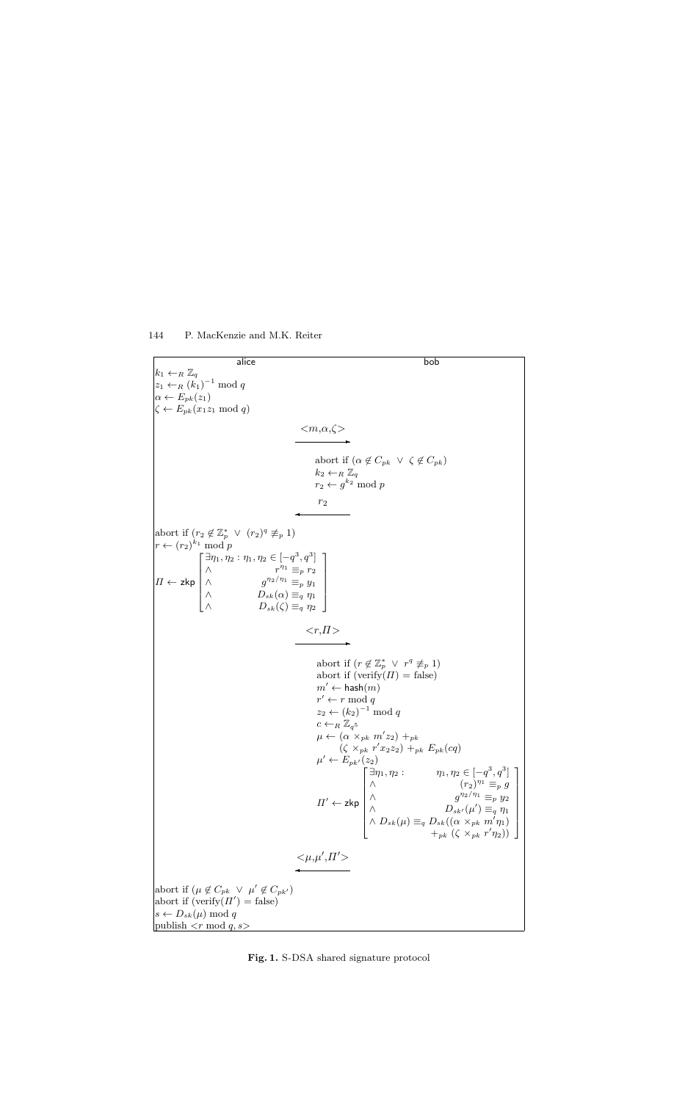<span id="page-7-0"></span>

**Fig. 1.** S-DSA shared signature protocol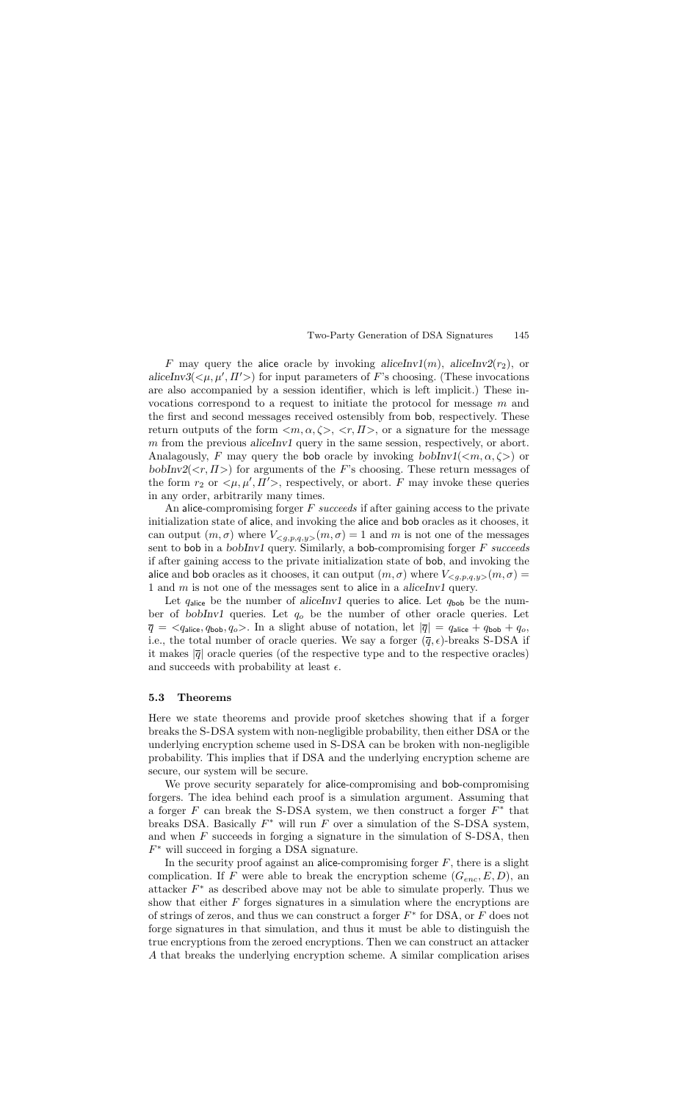<span id="page-8-0"></span>F may query the alice oracle by invoking aliceInv1(m), aliceInv2( $r_2$ ), or aliceInv3( $\langle \mu, \mu', \Pi' \rangle$ ) for input parameters of F's choosing. (These invocations are also accompanied by a session identifier, which is left implicit.) These invocations correspond to a request to initiate the protocol for message  $m$  and the first and second messages received ostensibly from bob, respectively. These return outputs of the form  $\langle m, \alpha, \zeta \rangle$ ,  $\langle r, \Pi \rangle$ , or a signature for the message m from the previous aliceInv1 query in the same session, respectively, or abort. Analagously, F may query the bob oracle by invoking  $\text{bobInv1}(\langle m, \alpha, \zeta \rangle)$  or bobInv2( $\langle r, \Pi \rangle$ ) for arguments of the F's choosing. These return messages of the form  $r_2$  or  $\langle \mu, \mu', \Pi' \rangle$ , respectively, or abort. F may invoke these queries in any order, arbitrarily many times.

An alice-compromising forger  $F$  succeeds if after gaining access to the private initialization state of alice, and invoking the alice and bob oracles as it chooses, it can output  $(m, \sigma)$  where  $V_{\leq q, p, q, y}$  $(m, \sigma) = 1$  and m is not one of the messages sent to bob in a bobInv1 query. Similarly, a bob-compromising forger  $F$  succeeds if after gaining access to the private initialization state of bob, and invoking the alice and bob oracles as it chooses, it can output  $(m, \sigma)$  where  $V_{\leq q, p, q, y}$  $(m, \sigma)$  = 1 and  $m$  is not one of the messages sent to alice in a aliceInv1 query.

Let  $q_{\text{alice}}$  be the number of aliceInv1 queries to alice. Let  $q_{\text{bob}}$  be the number of bobInv1 queries. Let  $q_0$  be the number of other oracle queries. Let  $\overline{q} = \langle q_{\text{alice}}, q_{\text{bob}}, q_o \rangle$ . In a slight abuse of notation, let  $|\overline{q}| = q_{\text{alice}} + q_{\text{bob}} + q_o$ , i.e., the total number of oracle queries. We say a forger  $(\bar{q}, \epsilon)$ -breaks S-DSA if it makes  $|\bar{q}|$  oracle queries (of the respective type and to the respective oracles) and succeeds with probability at least  $\epsilon$ .

#### **5.3 Theorems**

Here we state theorems and provide proof sketches showing that if a forger breaks the S-DSA system with non-negligible probability, then either DSA or the underlying encryption scheme used in S-DSA can be broken with non-negligible probability. This implies that if DSA and the underlying encryption scheme are secure, our system will be secure.

We prove security separately for alice-compromising and bob-compromising forgers. The idea behind each proof is a simulation argument. Assuming that a forger F can break the S-DSA system, we then construct a forger  $F^*$  that breaks DSA. Basically  $F^*$  will run F over a simulation of the S-DSA system, and when  $F$  succeeds in forging a signature in the simulation of S-DSA, then  $F^*$  will succeed in forging a DSA signature.

In the security proof against an alice-compromising forger  $F$ , there is a slight complication. If F were able to break the encryption scheme  $(G_{enc}, E, D)$ , an attacker  $F^*$  as described above may not be able to simulate properly. Thus we show that either  $F$  forges signatures in a simulation where the encryptions are of strings of zeros, and thus we can construct a forger  $F^*$  for DSA, or F does not forge signatures in that simulation, and thus it must be able to distinguish the true encryptions from the zeroed encryptions. Then we can construct an attacker A that breaks the underlying encryption scheme. A similar complication arises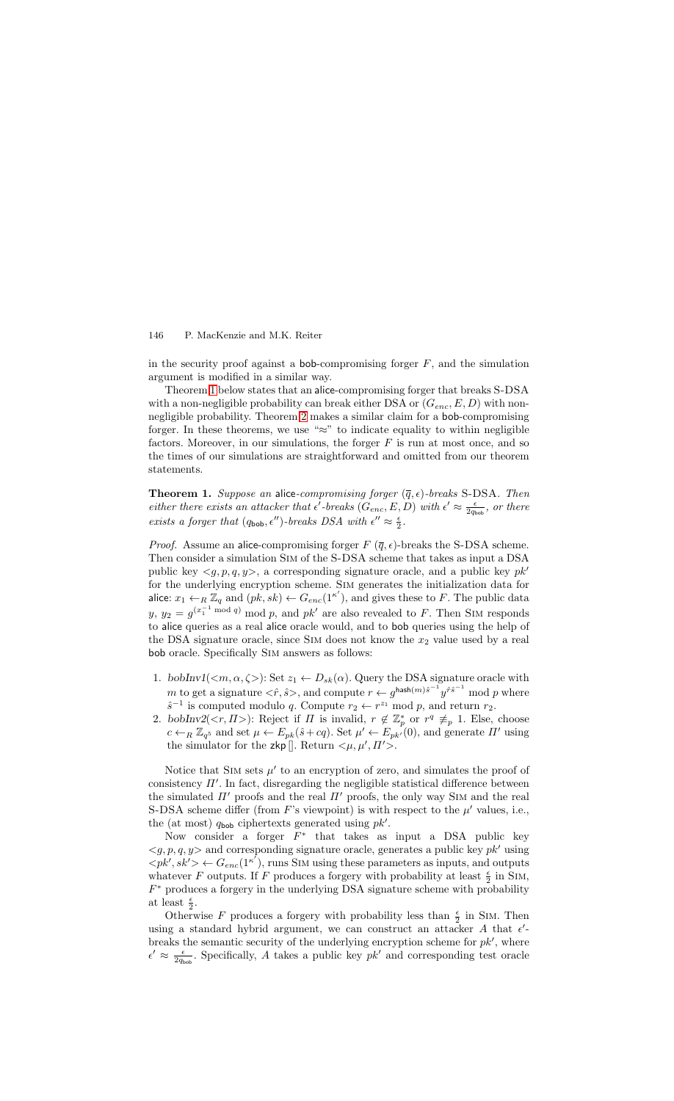in the security proof against a **bob**-compromising forger  $F$ , and the simulation argument is modified in a similar way.

Theorem 1 below states that an alice-compromising forger that breaks S-DSA with a non-negligible probability can break either DSA or  $(G_{enc}, E, D)$  with nonnegligible probability. Theorem [2](#page-10-0) makes a similar claim for a bob-compromising forger. In these theorems, we use " $\approx$ " to indicate equality to within negligible factors. Moreover, in our simulations, the forger  $F$  is run at most once, and so the times of our simulations are straightforward and omitted from our theorem statements.

**Theorem 1.** Suppose an alice-compromising forger  $(\overline{q}, \epsilon)$ -breaks S-DSA. Then either there exists an attacker that  $\epsilon'$ -breaks  $(G_{enc}, E, D)$  with  $\epsilon' \approx \frac{\epsilon}{2q_{\text{bob}}}$ , or there exists a forger that  $(q_{\text{bob}}, \epsilon'')$ -breaks DSA with  $\epsilon'' \approx \frac{\epsilon}{2}$ .

*Proof.* Assume an alice-compromising forger  $F(\bar{q}, \epsilon)$ -breaks the S-DSA scheme. Then consider a simulation Sim of the S-DSA scheme that takes as input a DSA public key  $\langle g, p, q, y \rangle$ , a corresponding signature oracle, and a public key pk<sup>'</sup> for the underlying encryption scheme. Sim generates the initialization data for alice:  $x_1 \leftarrow_R \mathbb{Z}_q$  and  $(pk, sk) \leftarrow G_{enc}(1^{\kappa'})$ , and gives these to F. The public data  $y, y_2 = g^{(x_1^{-1} \mod q)} \mod p$ , and  $pk'$  are also revealed to F. Then SIM responds to alice queries as a real alice oracle would, and to bob queries using the help of the DSA signature oracle, since SIM does not know the  $x_2$  value used by a real bob oracle. Specifically Sim answers as follows:

- 1. bobInv1( $\langle m, \alpha, \zeta \rangle$ ): Set  $z_1 \leftarrow D_{sk}(\alpha)$ . Query the DSA signature oracle with m to get a signature  $\langle \hat{r}, \hat{s} \rangle$ , and compute  $r \leftarrow g^{\text{hash}(m)\hat{s}^{-1}} y^{\hat{r}\hat{s}^{-1}} \mod p$  where  $\hat{s}^{-1}$  is computed modulo q. Compute  $r_2 \leftarrow r^{z_1} \mod p$ , and return  $r_2$ .
- 2. bobInv2( $\langle r, \Pi \rangle$ ): Reject if  $\Pi$  is invalid,  $r \notin \mathbb{Z}_p^*$  or  $r^q \not\equiv_p 1$ . Else, choose  $c \leftarrow_R \mathbb{Z}_{q^5}$  and set  $\mu \leftarrow E_{pk}(\hat{s}+cq)$ . Set  $\mu' \leftarrow E_{pk'}(0)$ , and generate  $\Pi'$  using the simulator for the zkp []. Return  $\langle \mu, \mu', \Pi' \rangle$ .

Notice that SIM sets  $\mu'$  to an encryption of zero, and simulates the proof of consistency  $\Pi'$ . In fact, disregarding the negligible statistical difference between the simulated  $\Pi'$  proofs and the real  $\Pi'$  proofs, the only way SIM and the real S-DSA scheme differ (from F's viewpoint) is with respect to the  $\mu'$  values, i.e., the (at most)  $q_{\text{bob}}$  ciphertexts generated using  $pk'$ .

Now consider a forger  $F^*$  that takes as input a DSA public key  $\langle g, p, q, y \rangle$  and corresponding signature oracle, generates a public key pk' using  $\langle pk^{\prime}, sk^{\prime} \rangle \leftarrow G_{enc}(1^{\kappa'})$ , runs SIM using these parameters as inputs, and outputs whatever F outputs. If F produces a forgery with probability at least  $\frac{\epsilon}{2}$  in SIM,  $F^*$  produces a forgery in the underlying DSA signature scheme with probability at least  $\frac{\epsilon}{2}$ .

Otherwise F produces a forgery with probability less than  $\frac{\epsilon}{2}$  in SIM. Then using a standard hybrid argument, we can construct an attacker A that  $\epsilon'$ breaks the semantic security of the underlying encryption scheme for  $pk'$ , where  $\epsilon' \approx \frac{\epsilon}{2q_{\text{bob}}}$ . Specifically, A takes a public key  $pk'$  and corresponding test oracle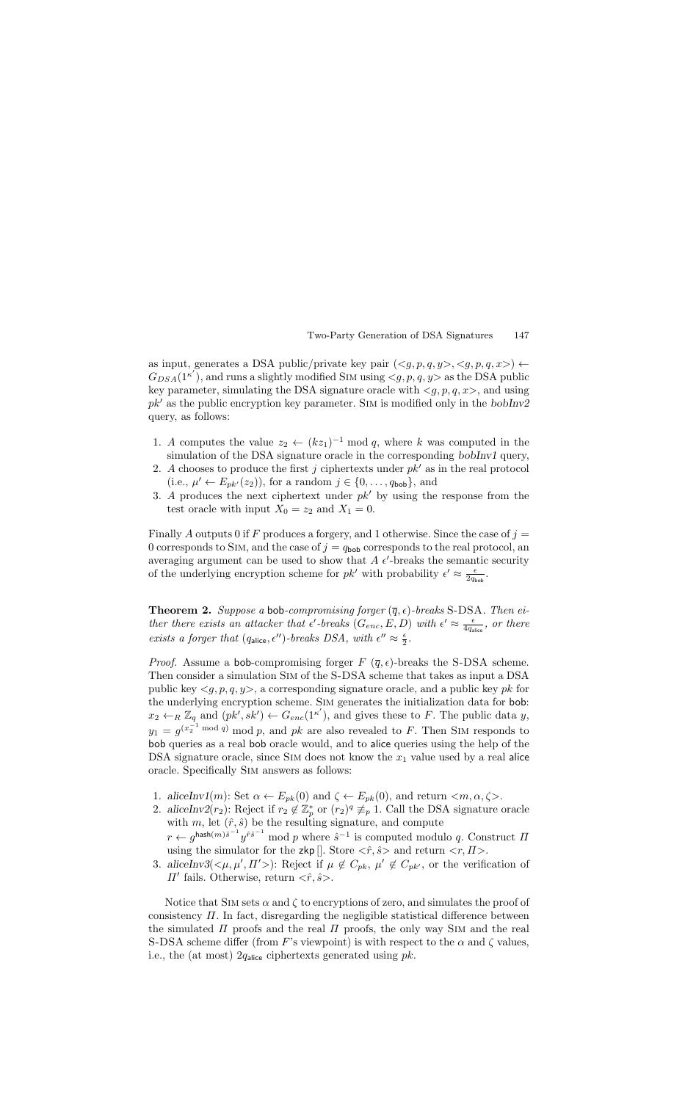<span id="page-10-0"></span>as input, generates a DSA public/private key pair  $(\langle g, p, q, y \rangle, \langle g, p, q, x \rangle) \leftarrow$  $G_{DSA}(1^{\kappa'})$ , and runs a slightly modified SIM using  $\langle g, p, q, y \rangle$  as the DSA public key parameter, simulating the DSA signature oracle with  $\langle g, p, q, x \rangle$ , and using  $pk'$  as the public encryption key parameter. SIM is modified only in the bobInv2 query, as follows:

- 1. A computes the value  $z_2 \leftarrow (kz_1)^{-1} \mod q$ , where k was computed in the simulation of the DSA signature oracle in the corresponding bobInv1 query,
- 2. A chooses to produce the first j ciphertexts under  $pk'$  as in the real protocol (i.e.,  $\mu' \leftarrow E_{pk'}(z_2)$ ), for a random  $j \in \{0, \ldots, q_{\text{bob}}\}$ , and
- 3. A produces the next ciphertext under  $pk'$  by using the response from the test oracle with input  $X_0 = z_2$  and  $X_1 = 0$ .

Finally A outputs 0 if F produces a forgery, and 1 otherwise. Since the case of  $j =$ 0 corresponds to SIM, and the case of  $j = q_{\text{bob}}$  corresponds to the real protocol, an averaging argument can be used to show that  $A \epsilon'$ -breaks the semantic security of the underlying encryption scheme for  $pk'$  with probability  $\epsilon' \approx \frac{\epsilon}{2q_{\text{bob}}}$ .

**Theorem 2.** Suppose a bob-compromising forger  $(\overline{q}, \epsilon)$ -breaks S-DSA. Then either there exists an attacker that  $\epsilon'$ -breaks  $(G_{enc}, E, D)$  with  $\epsilon' \approx \frac{\epsilon}{4q_{\text{alice}}},$  or there exists a forger that  $(q_{\text{alice}}, \epsilon'')$ -breaks DSA, with  $\epsilon'' \approx \frac{\epsilon}{2}$ .

*Proof.* Assume a bob-compromising forger F  $(\bar{q}, \epsilon)$ -breaks the S-DSA scheme. Then consider a simulation Sim of the S-DSA scheme that takes as input a DSA public key  $\langle q, p, q, y \rangle$ , a corresponding signature oracle, and a public key pk for the underlying encryption scheme. Sim generates the initialization data for bob:  $x_2 \leftarrow_R \mathbb{Z}_q$  and  $(pk', sk') \leftarrow G_{enc}(1^{\kappa'})$ , and gives these to F. The public data y,  $y_1 = g^{(x_2^{-1} \mod q)}$  mod p, and pk are also revealed to F. Then SIM responds to bob queries as a real bob oracle would, and to alice queries using the help of the DSA signature oracle, since SIM does not know the  $x_1$  value used by a real alice oracle. Specifically Sim answers as follows:

- 1. aliceInv1(m): Set  $\alpha \leftarrow E_{pk}(0)$  and  $\zeta \leftarrow E_{pk}(0)$ , and return  $\langle m, \alpha, \zeta \rangle$ .
- 2. aliceInv2(r<sub>2</sub>): Reject if  $r_2 \notin \mathbb{Z}_p^*$  or  $(r_2)^q \neq p1$ . Call the DSA signature oracle with m, let  $(\hat{r}, \hat{s})$  be the resulting signature, and compute  $r \leftarrow g^{\text{hash}(m)\hat{s}^{-1}} y^{\hat{r}\hat{s}^{-1}} \text{ mod } p$  where  $\hat{s}^{-1}$  is computed modulo q. Construct  $\Pi$ using the simulator for the zkp []. Store  $\langle \hat{r}, \hat{s} \rangle$  and return  $\langle r, \Pi \rangle$ .
- 3. aliceInv3( $\lt \mu$ ,  $\mu'$ ,  $\Pi'$ ): Reject if  $\mu \notin C_{pk}$ ,  $\mu' \notin C_{pk'}$ , or the verification of  $\Pi'$  fails. Otherwise, return  $\langle \hat{r}, \hat{s} \rangle$ .

Notice that SIM sets  $\alpha$  and  $\zeta$  to encryptions of zero, and simulates the proof of consistency  $\Pi$ . In fact, disregarding the negligible statistical difference between the simulated  $\Pi$  proofs and the real  $\Pi$  proofs, the only way SIM and the real S-DSA scheme differ (from F's viewpoint) is with respect to the  $\alpha$  and  $\zeta$  values, i.e., the (at most)  $2q_{\text{alice}}$  ciphertexts generated using  $pk$ .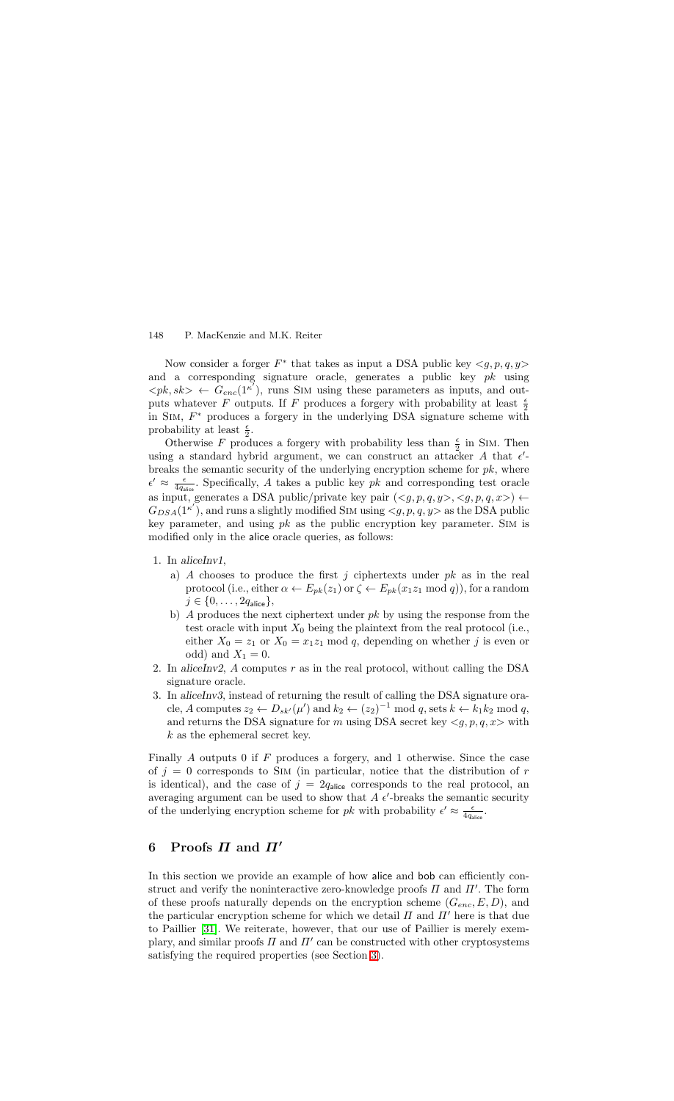<span id="page-11-0"></span>Now consider a forger  $F^*$  that takes as input a DSA public key  $\langle g, p, q, y \rangle$ and a corresponding signature oracle, generates a public key  $pk$  using  $\langle pk, sk \rangle \leftarrow G_{enc}(1^{\kappa'})$ , runs SIM using these parameters as inputs, and outputs whatever F outputs. If F produces a forgery with probability at least  $\frac{\epsilon}{2}$ in SIM,  $F^*$  produces a forgery in the underlying DSA signature scheme with probability at least  $\frac{\epsilon}{2}$ .

Otherwise F produces a forgery with probability less than  $\frac{\epsilon}{2}$  in SIM. Then using a standard hybrid argument, we can construct an attacker A that  $\epsilon'$ breaks the semantic security of the underlying encryption scheme for  $pk$ , where  $\epsilon' \approx \frac{\epsilon}{4q_{\text{alice}}}$ . Specifically, A takes a public key pk and corresponding test oracle as input, generates a DSA public/private key pair  $(\langle q, p, q, y \rangle, \langle q, p, q, x \rangle) \leftarrow$  $G_{DSA}(1^{\kappa'})$ , and runs a slightly modified SIM using  $\langle g, p, q, y \rangle$  as the DSA public key parameter, and using  $pk$  as the public encryption key parameter. SIM is modified only in the alice oracle queries, as follows:

- 1. In aliceInv1,
	- a) A chooses to produce the first j ciphertexts under  $pk$  as in the real protocol (i.e., either  $\alpha \leftarrow E_{pk}(z_1)$  or  $\zeta \leftarrow E_{pk}(x_1z_1 \mod q)$ ), for a random  $j \in \{0, \ldots, 2q_{\text{alice}}\},\$
	- b) A produces the next ciphertext under  $pk$  by using the response from the test oracle with input  $X_0$  being the plaintext from the real protocol (i.e., either  $X_0 = z_1$  or  $X_0 = x_1 z_1 \mod q$ , depending on whether j is even or odd) and  $X_1 = 0$ .
- 2. In aliceInv2,  $\vec{A}$  computes  $\vec{r}$  as in the real protocol, without calling the DSA signature oracle.
- 3. In aliceInv3, instead of returning the result of calling the DSA signature oracle, A computes  $z_2 \leftarrow D_{sk'}(\mu')$  and  $k_2 \leftarrow (z_2)^{-1} \mod q$ , sets  $k \leftarrow k_1 k_2 \mod q$ , and returns the DSA signature for m using DSA secret key  $\langle g, p, q, x \rangle$  with k as the ephemeral secret key.

Finally  $A$  outputs 0 if  $F$  produces a forgery, and 1 otherwise. Since the case of  $j = 0$  corresponds to SIM (in particular, notice that the distribution of r is identical), and the case of  $j = 2q_{\text{alice}}$  corresponds to the real protocol, an averaging argument can be used to show that  $A \epsilon'$ -breaks the semantic security of the underlying encryption scheme for pk with probability  $\epsilon' \approx \frac{\epsilon}{4q_{\text{alice}}}.$ 

# **6 Proofs** *Π* **and** *Π<sup>0</sup>*

In this section we provide an example of how alice and bob can efficiently construct and verify the noninteractive zero-knowledge proofs  $\Pi$  and  $\Pi'$ . The form of these proofs naturally depends on the encryption scheme  $(G_{enc}, E, D)$ , and the particular encryption scheme for which we detail  $\Pi$  and  $\Pi'$  here is that due to Paillier [\[31\]](#page-17-0). We reiterate, however, that our use of Paillier is merely exemplary, and similar proofs  $\Pi$  and  $\Pi'$  can be constructed with other cryptosystems satisfying the required properties (see Section [3\)](#page-2-0).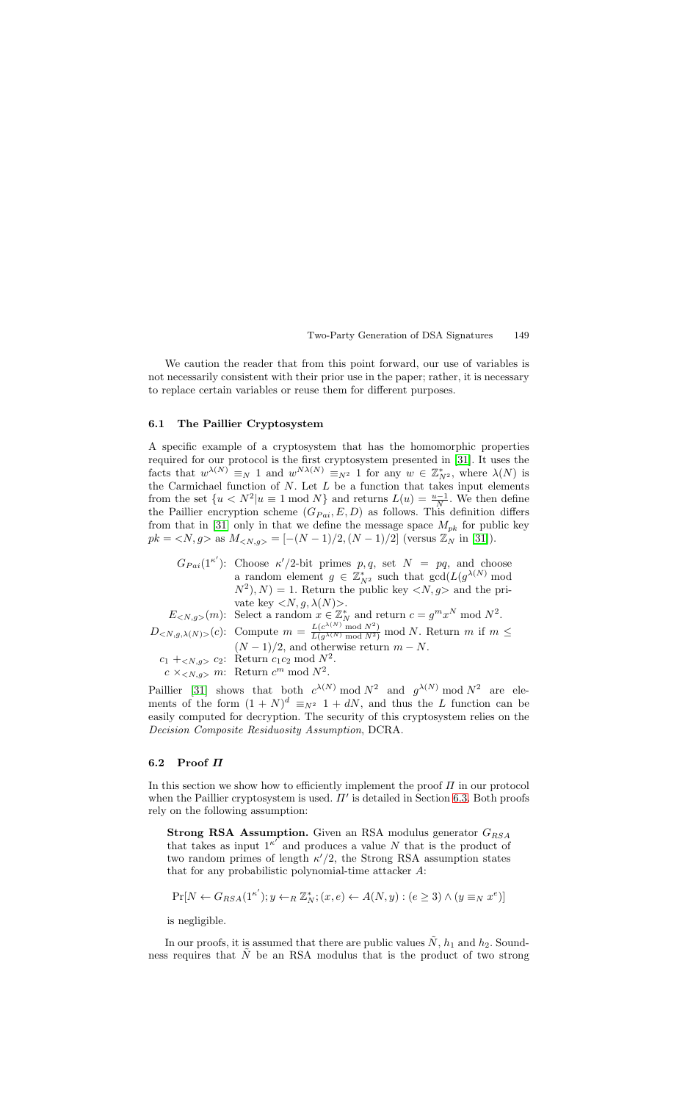<span id="page-12-0"></span>We caution the reader that from this point forward, our use of variables is not necessarily consistent with their prior use in the paper; rather, it is necessary to replace certain variables or reuse them for different purposes.

#### **6.1 The Paillier Cryptosystem**

A specific example of a cryptosystem that has the homomorphic properties required for our protocol is the first cryptosystem presented in [\[31\]](#page-17-0). It uses the facts that  $w^{\lambda(N)} \equiv_N 1$  and  $w^{N\lambda(N)} \equiv_{N^2} 1$  for any  $w \in \mathbb{Z}_{N^2}^*$ , where  $\lambda(N)$  is the Carmichael function of  $N$ . Let  $L$  be a function that takes input elements from the set  $\{u \le N^2 | u \equiv 1 \bmod N\}$  and returns  $L(u) = \frac{u-1}{N}$ . We then define the Paillier encryption scheme  $(G_{Pai}, E, D)$  as follows. This definition differs from that in [\[31\]](#page-17-0) only in that we define the message space  $M_{pk}$  for public key  $pk = \langle N, g \rangle$  as  $M_{\langle N, g \rangle} = [-(N-1)/2, (N-1)/2]$  (versus  $\mathbb{Z}_N$  in [\[31\]](#page-17-0)).

 $G_{Pai}(1^{\kappa'})$ : Choose  $\kappa'/2$ -bit primes p, q, set  $N = pq$ , and choose a random element  $g \in \mathbb{Z}_{N^2}^*$  such that  $gcd(L(g^{\lambda(N)} \bmod$  $(N^2)$ ,  $N$ ) = 1. Return the public key  $\langle N, g \rangle$  and the private key  $\langle N, q, \lambda(N) \rangle$ .

 $E_{\leq N,g>}(m)$ : Select a random  $x \in \mathbb{Z}_N^*$  and return  $c = g^m x^N \mod N^2$ .  $D_{\langle N,g,\lambda(N)\rangle}(c)$ : Compute  $m = \frac{L(c^{\lambda(N)} \mod N^2)}{L(g^{\lambda(N)} \mod N^2)} \mod N$ . Return m if  $m \leq$  $(N-1)/2$ , and otherwise return  $m-N$ .  $c_1 +_{\leq N,q>} c_2$ : Return  $c_1c_2 \mod N^2$ .  $c \times_{\langle N,q \rangle} m$ : Return  $c^m \bmod N^2$ .

Paillier [\[31\]](#page-17-0) shows that both  $c^{\lambda(N)}$  mod  $N^2$  and  $g^{\lambda(N)}$  mod  $N^2$  are elements of the form  $(1 + N)^d \equiv_{N^2} 1 + dN$ , and thus the L function can be easily computed for decryption. The security of this cryptosystem relies on the Decision Composite Residuosity Assumption, DCRA.

#### **6.2 Proof** *Π*

In this section we show how to efficiently implement the proof  $\Pi$  in our protocol when the Paillier cryptosystem is used.  $\Pi'$  is detailed in Section [6.3.](#page-13-0) Both proofs rely on the following assumption:

**Strong RSA Assumption.** Given an RSA modulus generator  $G_{RSA}$ that takes as input  $1^{k'}$  and produces a value N that is the product of two random primes of length  $\kappa'/2$ , the Strong RSA assumption states that for any probabilistic polynomial-time attacker A:

$$
\Pr[N \leftarrow G_{RSA}(1^{\kappa'}); y \leftarrow_R \mathbb{Z}_N^*; (x, e) \leftarrow A(N, y) : (e \ge 3) \land (y \equiv_N x^e)]
$$

is negligible.

In our proofs, it is assumed that there are public values  $\tilde{N}$ ,  $h_1$  and  $h_2$ . Soundness requires that  $\tilde{N}$  be an RSA modulus that is the product of two strong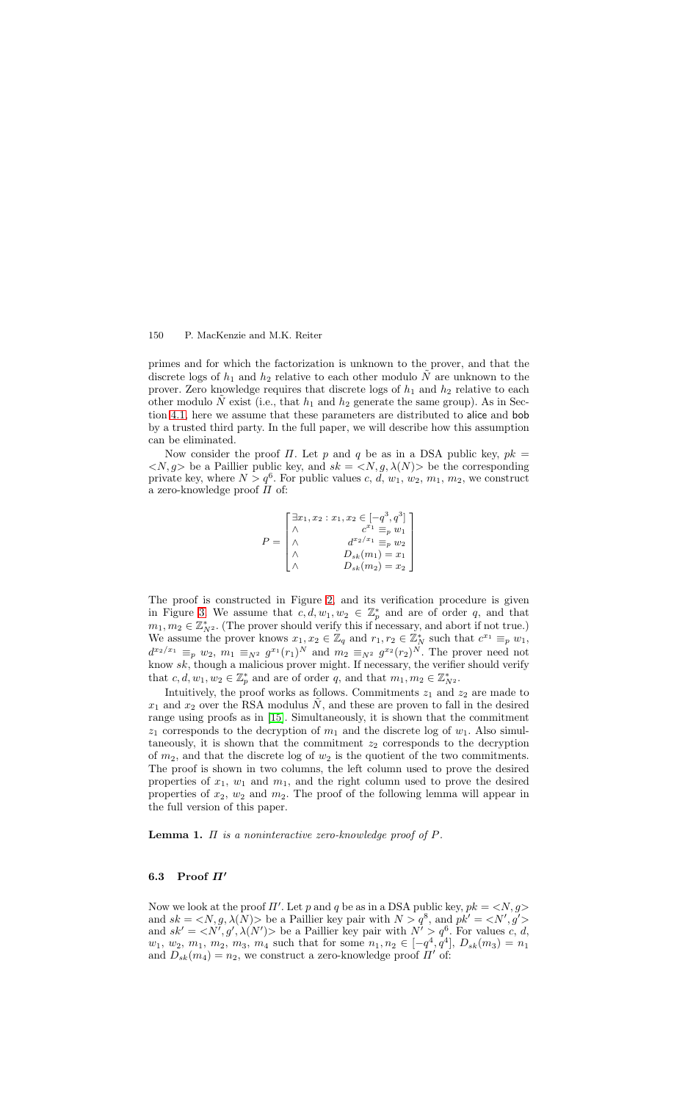<span id="page-13-0"></span>primes and for which the factorization is unknown to the prover, and that the discrete logs of  $h_1$  and  $h_2$  relative to each other modulo N are unknown to the prover. Zero knowledge requires that discrete logs of  $h_1$  and  $h_2$  relative to each other modulo  $\tilde{N}$  exist (i.e., that  $h_1$  and  $h_2$  generate the same group). As in Section [4.1,](#page-4-0) here we assume that these parameters are distributed to alice and bob by a trusted third party. In the full paper, we will describe how this assumption can be eliminated.

Now consider the proof  $\Pi$ . Let p and q be as in a DSA public key,  $pk =$  $\langle N, g \rangle$  be a Paillier public key, and  $sk = \langle N, g, \lambda(N) \rangle$  be the corresponding private key, where  $N>q^6$ . For public values c, d,  $w_1, w_2, m_1, m_2$ , we construct a zero-knowledge proof  $\Pi$  of:

$$
P = \begin{bmatrix} \exists x_1, x_2 : x_1, x_2 \in [-q^3, q^3] \\ \wedge & c^{x_1} \equiv_p w_1 \\ \wedge & d^{x_2/x_1} \equiv_p w_2 \\ \wedge & D_{sk}(m_1) = x_1 \\ \wedge & D_{sk}(m_2) = x_2 \end{bmatrix}
$$

The proof is constructed in Figure [2,](#page-14-0) and its verification procedure is given in Figure [3.](#page-14-0) We assume that  $c, d, w_1, w_2 \in \mathbb{Z}_p^*$  and are of order q, and that  $m_1, m_2 \in \mathbb{Z}_{N^2}^*$ . (The prover should verify this if necessary, and abort if not true.) We assume the prover knows  $x_1, x_2 \in \mathbb{Z}_q$  and  $r_1, r_2 \in \mathbb{Z}_N^*$  such that  $c^{x_1} \equiv_p w_1$ ,  $d^{x_2/x_1} \equiv_p w_2$ ,  $m_1 \equiv_{N^2} g^{x_1}(r_1)^N$  and  $m_2 \equiv_{N^2} g^{x_2}(r_2)^N$ . The prover need not know  $sk$ , though a malicious prover might. If necessary, the verifier should verify that  $c, d, w_1, w_2 \in \mathbb{Z}_p^*$  and are of order q, and that  $m_1, m_2 \in \mathbb{Z}_{N^2}^*$ .

Intuitively, the proof works as follows. Commitments  $z_1$  and  $z_2$  are made to  $x_1$  and  $x_2$  over the RSA modulus  $\tilde{N}$ , and these are proven to fall in the desired range using proofs as in [\[15\]](#page-16-0). Simultaneously, it is shown that the commitment  $z_1$  corresponds to the decryption of  $m_1$  and the discrete log of  $w_1$ . Also simultaneously, it is shown that the commitment  $z_2$  corresponds to the decryption of  $m_2$ , and that the discrete log of  $w_2$  is the quotient of the two commitments. The proof is shown in two columns, the left column used to prove the desired properties of  $x_1$ ,  $w_1$  and  $m_1$ , and the right column used to prove the desired properties of  $x_2$ ,  $w_2$  and  $m_2$ . The proof of the following lemma will appear in the full version of this paper.

**Lemma 1.** Π is a noninteractive zero-knowledge proof of P.

#### **6.3 Proof** *Π<sup>0</sup>*

Now we look at the proof  $\Pi'$ . Let p and q be as in a DSA public key,  $pk = \langle N, g \rangle$ and  $sk = \langle N, g, \lambda(N) \rangle$  be a Paillier key pair with  $N > q^8$ , and  $pk' = \langle N', g' \rangle$ and  $sk' = \langle N', g', \lambda(N') \rangle$  be a Paillier key pair with  $N' > q^6$ . For values c, d,  $w_1, w_2, m_1, m_2, m_3, m_4$  such that for some  $n_1, n_2 \in [-q^4, q^4], D_{sk}(m_3) = n_1$ and  $D_{sk}(m_4) = n_2$ , we construct a zero-knowledge proof  $\Pi'$  of: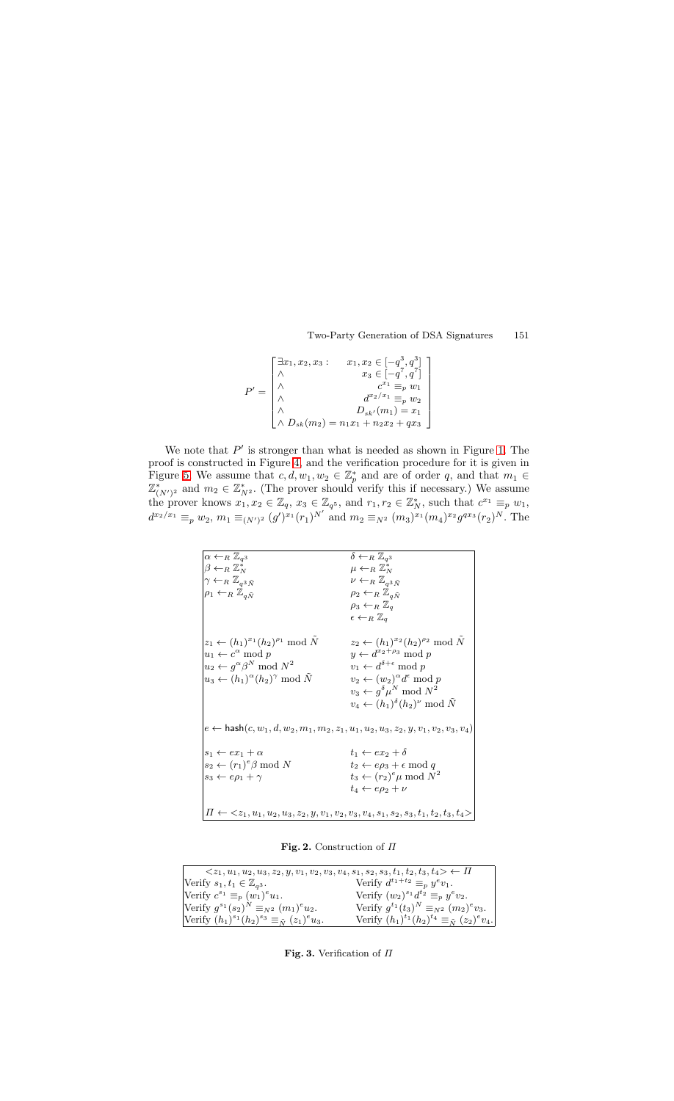$$
P' = \begin{bmatrix} \exists x_1, x_2, x_3 : & x_1, x_2 \in [-q^3, q^3] \\ \wedge & x_3 \in [-q^7, q^7] \\ \wedge & c^{x_1} \equiv_p w_1 \\ \wedge & d^{x_2/x_1} \equiv_p w_2 \\ \wedge & D_{sk'}(m_1) = x_1 \\ \wedge D_{sk}(m_2) = n_1 x_1 + n_2 x_2 + q x_3 \end{bmatrix}
$$

<span id="page-14-0"></span>We note that  $P'$  is stronger than what is needed as shown in Figure [1.](#page-7-0) The proof is constructed in Figure [4,](#page-15-0) and the verification procedure for it is given in Figure [5.](#page-15-0) We assume that  $c, d, w_1, w_2 \in \mathbb{Z}_p^*$  and are of order q, and that  $m_1 \in$  $\mathbb{Z}_{(N')^2}^*$  and  $m_2 \in \mathbb{Z}_{N^2}^*$ . (The prover should verify this if necessary.) We assume the prover knows  $x_1, x_2 \in \mathbb{Z}_q$ ,  $x_3 \in \mathbb{Z}_{q^5}$ , and  $r_1, r_2 \in \mathbb{Z}_N^*$ , such that  $c^{x_1} \equiv_p w_1$ ,  $d^{x_2/x_1} \equiv_p w_2, m_1 \equiv_{(N')^2} (g')^{x_1}(r_1)^{N'}$  and  $m_2 \equiv_{N^2} (m_3)^{x_1}(m_4)^{x_2}g^{q x_3}(r_2)^{N}$ . The

| $\alpha \leftarrow_R \mathbb{Z}_{q^3}$                                                                             | $\delta \leftarrow_R \mathbb{Z}_{q^3}$                             |  |
|--------------------------------------------------------------------------------------------------------------------|--------------------------------------------------------------------|--|
| $\beta \leftarrow_R \mathbb{Z}_N^*$                                                                                | $\mu \leftarrow_R \mathbb{Z}_N^*$                                  |  |
| $\gamma \leftarrow_R \mathbb{Z}_{a^3 \tilde{N}}$                                                                   | $\nu \leftarrow_R \mathbb{Z}_{q^3 \tilde{N}}$                      |  |
| $\rho_1 \leftarrow_R \mathbb{Z}_{q\tilde{N}}$                                                                      | $\rho_2 \leftarrow_R \mathbb{Z}_{q\tilde{N}}$                      |  |
|                                                                                                                    | $\rho_3 \leftarrow_R \mathbb{Z}_q$                                 |  |
|                                                                                                                    | $\epsilon \leftarrow_R \mathbb{Z}_q$                               |  |
|                                                                                                                    |                                                                    |  |
| $z_1 \leftarrow (h_1)^{x_1} (h_2)^{\rho_1} \text{ mod } N$                                                         | $z_2 \leftarrow (h_1)^{x_2} (h_2)^{\rho_2} \text{ mod } N$         |  |
| $u_1 \leftarrow c^{\alpha} \mod p$                                                                                 | $y \leftarrow d^{x_2+\rho_3} \mod p$                               |  |
| $ u_2 \leftarrow g^{\alpha} \beta^N \bmod N^2$                                                                     | $v_1 \leftarrow d^{\delta + \epsilon} \bmod p$                     |  |
| $u_3 \leftarrow (h_1)^{\alpha} (h_2)^{\gamma} \text{ mod } \tilde{N}$                                              | $v_2 \leftarrow (w_2)^{\alpha} d^{\epsilon} \mod p$                |  |
|                                                                                                                    | $v_3 \leftarrow g^{\delta} \mu^N \bmod N^2$                        |  |
|                                                                                                                    | $v_4 \leftarrow (h_1)^{\delta} (h_2)^{\nu} \text{ mod } \tilde{N}$ |  |
|                                                                                                                    |                                                                    |  |
| $e \leftarrow$ hash $(c, w_1, d, w_2, m_1, m_2, z_1, u_1, u_2, u_3, z_2, y, v_1, v_2, v_3, v_4)$                   |                                                                    |  |
| $s_1 \leftarrow ex_1 + \alpha$                                                                                     | $t_1 \leftarrow ex_2 + \delta$                                     |  |
| $s_2 \leftarrow (r_1)^e \beta \text{ mod } N$                                                                      | $t_2 \leftarrow e\rho_3 + \epsilon \bmod q$                        |  |
| $s_3 \leftarrow e\rho_1 + \gamma$                                                                                  | $t_3 \leftarrow (r_2)^e \mu \bmod N^2$                             |  |
|                                                                                                                    | $t_4 \leftarrow e\rho_2 + \nu$                                     |  |
|                                                                                                                    |                                                                    |  |
| $\Pi \leftarrow \langle z_1, u_1, u_2, u_3, z_2, y, v_1, v_2, v_3, v_4, s_1, s_2, s_3, t_1, t_2, t_3, t_4 \rangle$ |                                                                    |  |

**Fig. 2.** Construction of Π

| $\langle z_1, u_1, u_2, u_3, z_2, y, v_1, v_2, v_3, v_4, s_1, s_2, s_3, t_1, t_2, t_3, t_4 \rangle \leftarrow \Pi$ |                                                                   |
|--------------------------------------------------------------------------------------------------------------------|-------------------------------------------------------------------|
| Verify $s_1, t_1 \in \mathbb{Z}_{q^3}$ .                                                                           | Verify $d^{t_1+t_2} \equiv_p y^e v_1$ .                           |
| Verify $c^{s_1} \equiv_p (w_1)^e u_1$ .                                                                            | Verify $(w_2)^{s_1}d^{t_2} \equiv_p y^e v_2$ .                    |
| Verify $g^{s_1}(s_2)^N \equiv_{N^2} (m_1)^e u_2$ .                                                                 | Verify $g^{t_1}(t_3)^N \equiv_{N^2} (m_2)^e v_3$ .                |
| Verify $(h_1)^{s_1} (h_2)^{s_3} \equiv_{\tilde{N}} (z_1)^e u_3.$                                                   | Verify $(h_1)^{t_1} (h_2)^{t_4} \equiv_{\tilde{N}} (z_2)^e v_4$ . |

**Fig. 3.** Verification of Π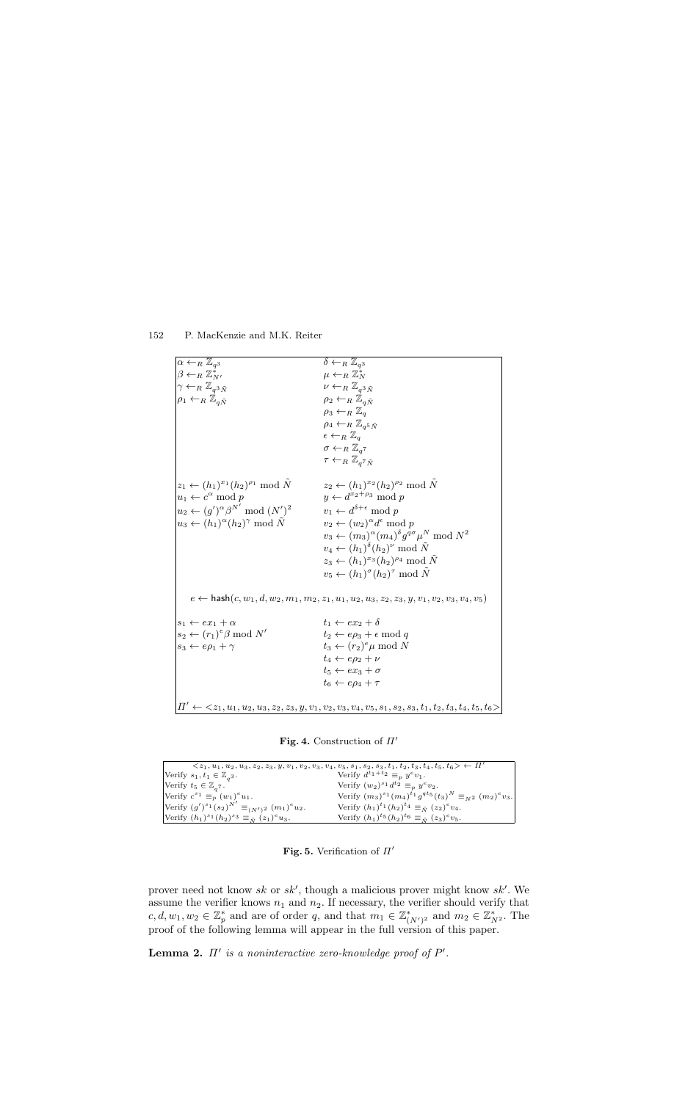<span id="page-15-0"></span>

| $\alpha \leftarrow_R \mathbb{Z}_{q^3}$                                                                                                  | $\delta \leftarrow_R \mathbb{Z}_{q^3}$                                                                     |  |
|-----------------------------------------------------------------------------------------------------------------------------------------|------------------------------------------------------------------------------------------------------------|--|
| $\beta \leftarrow_R \mathbb{Z}_N^*$                                                                                                     | $\mu \leftarrow_R \mathbb{Z}_N^*$                                                                          |  |
| $\gamma \leftarrow_R \mathbb{Z}_{a^3 \tilde{N}}$                                                                                        | $\nu \leftarrow_R \mathbb{Z}_{a^3 \tilde{N}}$                                                              |  |
| $ \rho_1 \leftarrow_R \mathbb{Z}_{\alpha \tilde{N}}$                                                                                    | $\rho_2 \leftarrow_R \mathbb{Z}_{\alpha \tilde{N}}$                                                        |  |
|                                                                                                                                         | $\rho_3 \leftarrow_R \mathbb{Z}_q$                                                                         |  |
|                                                                                                                                         | $\rho_4 \leftarrow_R \mathbb{Z}_{a^5 \tilde{N}}$                                                           |  |
|                                                                                                                                         | $\epsilon \leftarrow_R \mathbb{Z}_a$                                                                       |  |
|                                                                                                                                         | $\sigma \leftarrow_R \mathbb{Z}_{a7}$                                                                      |  |
|                                                                                                                                         | $\tau \leftarrow_R \mathbb{Z}_{a^7\tilde{N}}$                                                              |  |
|                                                                                                                                         |                                                                                                            |  |
| $ z_1 \leftarrow (h_1)^{x_1} (h_2)^{\rho_1} \bmod N$                                                                                    | $z_2 \leftarrow (h_1)^{x_2} (h_2)^{\rho_2} \text{ mod } N$                                                 |  |
| $ u_1 \leftarrow c^{\alpha} \bmod p$                                                                                                    | $y \leftarrow d^{x_2+\rho_3} \mod p$                                                                       |  |
| $ u_2 \leftarrow (q')^{\alpha} \beta^{N'} \bmod (N')^2$                                                                                 | $v_1 \leftarrow d^{\delta + \epsilon} \mod p$                                                              |  |
| $ u_3 \leftarrow (h_1)^{\alpha}(h_2)^{\gamma} \mod \tilde{N}$                                                                           | $v_2 \leftarrow (w_2)^{\alpha} d^{\epsilon} \mod p$                                                        |  |
|                                                                                                                                         | $v_3 \leftarrow (m_3)^{\alpha} (m_4)^{\delta} g^{q\sigma} \mu^N \text{ mod } N^2$                          |  |
|                                                                                                                                         | $v_4 \leftarrow (h_1)^{\delta} (h_2)^{\nu} \mod \tilde{N}$                                                 |  |
|                                                                                                                                         | $z_3 \leftarrow (h_1)^{x_3} (h_2)^{\rho_4} \text{ mod } \tilde{N}$                                         |  |
|                                                                                                                                         | $v_5 \leftarrow (h_1)^{\sigma} (h_2)^{\tau} \mod N$                                                        |  |
|                                                                                                                                         |                                                                                                            |  |
|                                                                                                                                         | $e \leftarrow$ hash $(c, w_1, d, w_2, m_1, m_2, z_1, u_1, u_2, u_3, z_2, z_3, y, v_1, v_2, v_3, v_4, v_5)$ |  |
|                                                                                                                                         |                                                                                                            |  |
| $s_1 \leftarrow ex_1 + \alpha$                                                                                                          | $t_1 \leftarrow ex_2 + \delta$                                                                             |  |
| $ s_2 \leftarrow (r_1)^e \beta \mod N'$                                                                                                 | $t_2 \leftarrow e\rho_3 + \epsilon \bmod q$                                                                |  |
| $ s_3 \leftarrow e\rho_1 + \gamma$                                                                                                      | $t_3 \leftarrow (r_2)^e \mu \mod N$                                                                        |  |
|                                                                                                                                         | $t_4 \leftarrow e\rho_2 + \nu$                                                                             |  |
|                                                                                                                                         | $t_5 \leftarrow ex_3 + \sigma$                                                                             |  |
|                                                                                                                                         | $t_6 \leftarrow e\rho_4 + \tau$                                                                            |  |
|                                                                                                                                         |                                                                                                            |  |
| $\Pi' \leftarrow \langle z_1, u_1, u_2, u_3, z_2, z_3, y, v_1, v_2, v_3, v_4, v_5, s_1, s_2, s_3, t_1, t_2, t_3, t_4, t_5, t_6 \rangle$ |                                                                                                            |  |

**Fig. 4.** Construction of  $\Pi'$ 

|                                                                   | $\langle z_1, u_1, u_2, u_3, z_2, z_3, y, v_1, v_2, v_3, v_4, v_5, s_1, s_2, s_3, t_1, t_2, t_3, t_4, t_5, t_6 \rangle \leftarrow \Pi'$ |
|-------------------------------------------------------------------|-----------------------------------------------------------------------------------------------------------------------------------------|
| Verify $s_1, t_1 \in \mathbb{Z}_{q^3}$ .                          | Verify $d^{t_1+t_2} \equiv_p y^e v_1$ .                                                                                                 |
| Verify $t_5 \in \mathbb{Z}_{q^7}$ .                               | Verify $(w_2)^{s_1} d^{t_2} \equiv_p y^e v_2$ .                                                                                         |
| Verify $c^{s_1} \equiv_p (w_1)^e u_1$ .                           | Verify $(m_3)^{s_1}(m_4)^{t_1}g^{qt_5}(t_3)^N \equiv_{N^2} (m_2)^{e}v_3.$                                                               |
| Verify $(g')^{s_1}(s_2)^{N'} \equiv_{(N')^2} (m_1)^e u_2.$        | Verify $(h_1)^{t_1} (h_2)^{t_4} \equiv_{\tilde{N}} (z_2)^{e} v_4$ .                                                                     |
| Verify $(h_1)^{s_1} (h_2)^{s_3} \equiv_{\tilde{N}} (z_1)^e u_3$ . | Verify $(h_1)^{t_5}(h_2)^{t_6} \equiv_{\tilde{N}} (z_3)^{e} v_5$ .                                                                      |

**Fig. 5.** Verification of  $\Pi'$ 

prover need not know sk or sk', though a malicious prover might know sk'. We assume the verifier knows  $n_1$  and  $n_2$ . If necessary, the verifier should verify that  $c, d, w_1, w_2 \in \mathbb{Z}_p^*$  and are of order q, and that  $m_1 \in \mathbb{Z}_{(N')^2}^*$  and  $m_2 \in \mathbb{Z}_{N^2}^*$ . The proof of the following lemma will appear in the full version of this paper.

**Lemma 2.**  $\Pi'$  is a noninteractive zero-knowledge proof of  $P'$ .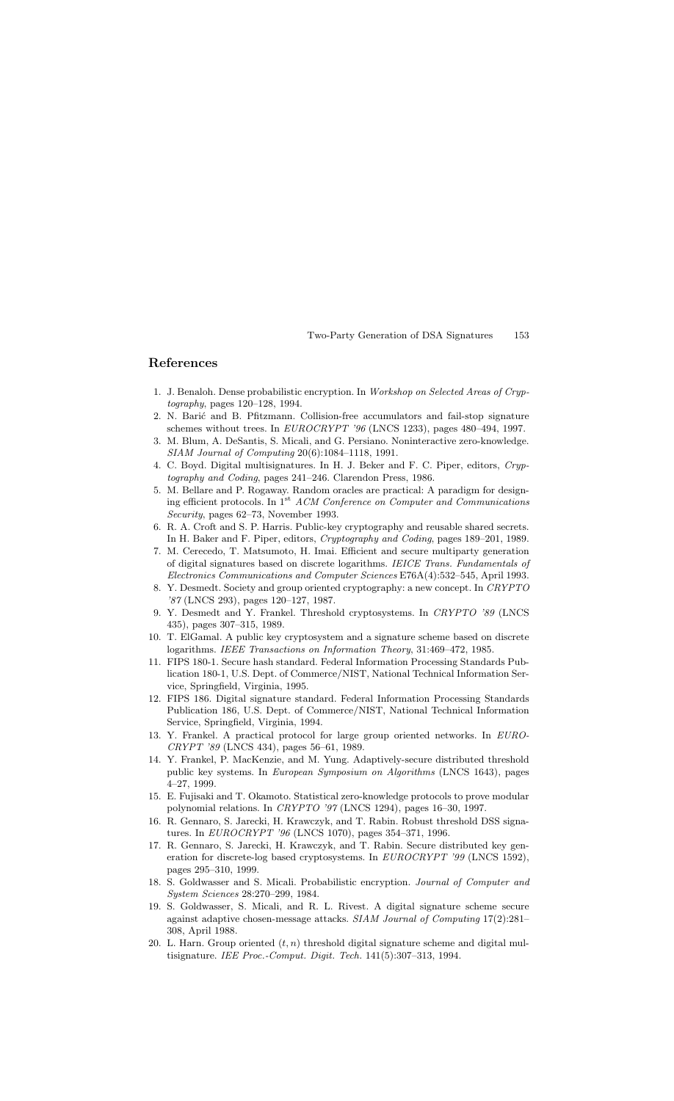# <span id="page-16-0"></span>**References**

- 1. J. Benaloh. Dense probabilistic encryption. In Workshop on Selected Areas of Cryptography, pages 120–128, 1994.
- 2. N. Barić and B. Pfitzmann. Collision-free accumulators and fail-stop signature schemes without trees. In EUROCRYPT '96 (LNCS 1233), pages 480–494, 1997.
- 3. M. Blum, A. DeSantis, S. Micali, and G. Persiano. Noninteractive zero-knowledge. SIAM Journal of Computing 20(6):1084–1118, 1991.
- 4. C. Boyd. Digital multisignatures. In H. J. Beker and F. C. Piper, editors, Cryptography and Coding, pages 241–246. Clarendon Press, 1986.
- 5. M. Bellare and P. Rogaway. Random oracles are practical: A paradigm for designing efficient protocols. In  $1<sup>st</sup>$  ACM Conference on Computer and Communications Security, pages 62–73, November 1993.
- 6. R. A. Croft and S. P. Harris. Public-key cryptography and reusable shared secrets. In H. Baker and F. Piper, editors, Cryptography and Coding, pages 189–201, 1989.
- 7. M. Cerecedo, T. Matsumoto, H. Imai. Efficient and secure multiparty generation of digital signatures based on discrete logarithms. IEICE Trans. Fundamentals of Electronics Communications and Computer Sciences E76A(4):532–545, April 1993.
- 8. Y. Desmedt. Society and group oriented cryptography: a new concept. In CRYPTO '87 (LNCS 293), pages 120–127, 1987.
- 9. Y. Desmedt and Y. Frankel. Threshold cryptosystems. In CRYPTO '89 (LNCS 435), pages 307–315, 1989.
- 10. T. ElGamal. A public key cryptosystem and a signature scheme based on discrete logarithms. IEEE Transactions on Information Theory, 31:469–472, 1985.
- 11. FIPS 180-1. Secure hash standard. Federal Information Processing Standards Publication 180-1, U.S. Dept. of Commerce/NIST, National Technical Information Service, Springfield, Virginia, 1995.
- 12. FIPS 186. Digital signature standard. Federal Information Processing Standards Publication 186, U.S. Dept. of Commerce/NIST, National Technical Information Service, Springfield, Virginia, 1994.
- 13. Y. Frankel. A practical protocol for large group oriented networks. In EURO-CRYPT '89 (LNCS 434), pages 56–61, 1989.
- 14. Y. Frankel, P. MacKenzie, and M. Yung. Adaptively-secure distributed threshold public key systems. In European Symposium on Algorithms (LNCS 1643), pages 4–27, 1999.
- 15. E. Fujisaki and T. Okamoto. Statistical zero-knowledge protocols to prove modular polynomial relations. In CRYPTO '97 (LNCS 1294), pages 16–30, 1997.
- 16. R. Gennaro, S. Jarecki, H. Krawczyk, and T. Rabin. Robust threshold DSS signatures. In EUROCRYPT '96 (LNCS 1070), pages 354–371, 1996.
- 17. R. Gennaro, S. Jarecki, H. Krawczyk, and T. Rabin. Secure distributed key generation for discrete-log based cryptosystems. In EUROCRYPT '99 (LNCS 1592), pages 295–310, 1999.
- 18. S. Goldwasser and S. Micali. Probabilistic encryption. Journal of Computer and System Sciences 28:270–299, 1984.
- 19. S. Goldwasser, S. Micali, and R. L. Rivest. A digital signature scheme secure against adaptive chosen-message attacks. SIAM Journal of Computing 17(2):281– 308, April 1988.
- 20. L. Harn. Group oriented  $(t, n)$  threshold digital signature scheme and digital multisignature. IEE Proc.-Comput. Digit. Tech. 141(5):307–313, 1994.